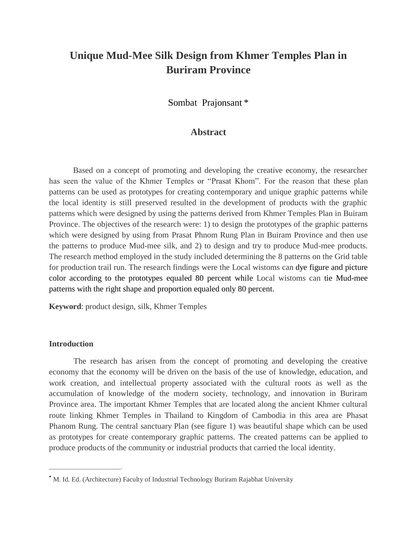# **Unique Mud-Mee Silk Design from Khmer Temples Plan in Buriram Province**

Sombat Prajonsant \*

### **Abstract**

Based on a concept of promoting and developing the creative economy, the researcher has seen the value of the Khmer Temples or "Prasat Khom". For the reason that these plan patterns can be used as prototypes for creating contemporary and unique graphic patterns while the local identity is still preserved resulted in the development of products with the graphic patterns which were designed by using the patterns derived from Khmer Temples Plan in Buiram Province. The objectives of the research were: 1) to design the prototypes of the graphic patterns which were designed by using from Prasat Phnom Rung Plan in Buiram Province and then use the patterns to produce Mud-mee silk, and 2) to design and try to produce Mud-mee products. The research method employed in the study included determining the 8 patterns on the Grid table for production trail run. The research findings were the Local wistoms can dye figure and picture color according to the prototypes equaled 80 percent while Local wistoms can tie Mud-mee patterns with the right shape and proportion equaled only 80 percent.

**Keyword**: product design, silk, Khmer Temples

#### **Introduction**

 $\mathcal{L}_\text{max}$ 

The research has arisen from the concept of promoting and developing the creative economy that the economy will be driven on the basis of the use of knowledge, education, and work creation, and intellectual property associated with the cultural roots as well as the accumulation of knowledge of the modern society, technology, and innovation in Buriram Province area. The important Khmer Temples that are located along the ancient Khmer cultural route linking Khmer Temples in Thailand to Kingdom of Cambodia in this area are Phasat Phanom Rung. The central sanctuary Plan (see figure 1) was beautiful shape which can be used as prototypes for create contemporary graphic patterns. The created patterns can be applied to produce products of the community or industrial products that carried the local identity.

**<sup>\*</sup>** M. Id. Ed. (Architecture) Faculty of Industrial Technology Buriram Rajabhat University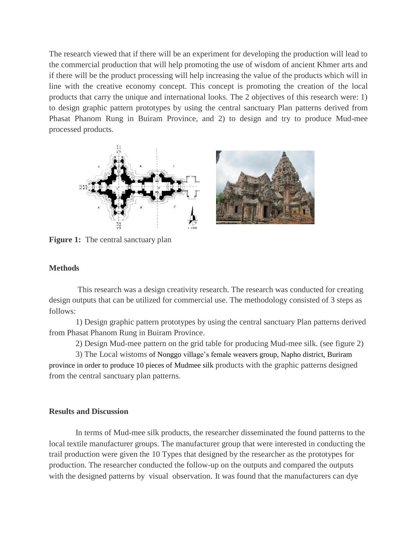The research viewed that if there will be an experiment for developing the production will lead to the commercial production that will help promoting the use of wisdom of ancient Khmer arts and if there will be the product processing will help increasing the value of the products which will in line with the creative economy concept. This concept is promoting the creation of the local products that carry the unique and international looks. The 2 objectives of this research were: 1) to design graphic pattern prototypes by using the central sanctuary Plan patterns derived from Phasat Phanom Rung in Buiram Province, and 2) to design and try to produce Mud-mee processed products.



**Figure 1:** The central sanctuary plan

### **Methods**

 This research was a design creativity research. The research was conducted for creating design outputs that can be utilized for commercial use. The methodology consisted of 3 steps as follows:

 1) Design graphic pattern prototypes by using the central sanctuary Plan patterns derived from Phasat Phanom Rung in Buiram Province.

2) Design Mud-mee pattern on the grid table for producing Mud-mee silk. (see figure 2)

 3) The Local wistoms of Nonggo village's female weavers group, Napho district, Buriram province in order to produce 10 pieces of Mudmee silk products with the graphic patterns designed from the central sanctuary plan patterns.

### **Results and Discussion**

 In terms of Mud-mee silk products, the researcher disseminated the found patterns to the local textile manufacturer groups. The manufacturer group that were interested in conducting the trail production were given the 10 Types that designed by the researcher as the prototypes for production. The researcher conducted the follow-up on the outputs and compared the outputs with the designed patterns by visual observation. It was found that the manufacturers can dye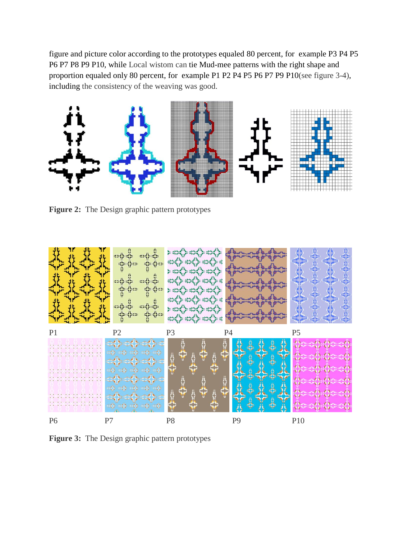figure and picture color according to the prototypes equaled 80 percent, for example P3 P4 P5 P6 P7 P8 P9 P10, while Local wistom can tie Mud-mee patterns with the right shape and proportion equaled only 80 percent, for example P1 P2 P4 P5 P6 P7 P9 P10(see figure 3-4), including the consistency of the weaving was good.



**Figure 2:** The Design graphic pattern prototypes



**Figure 3:** The Design graphic pattern prototypes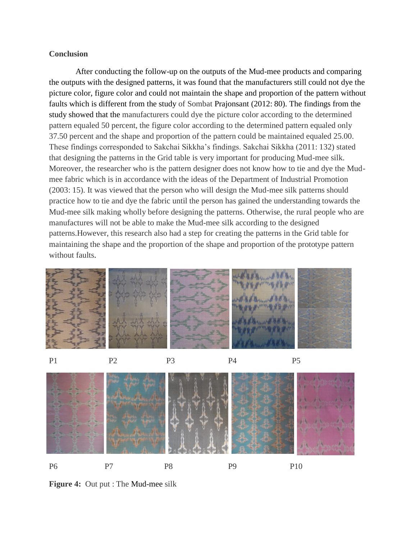### **Conclusion**

 After conducting the follow-up on the outputs of the Mud-mee products and comparing the outputs with the designed patterns, it was found that the manufacturers still could not dye the picture color, figure color and could not maintain the shape and proportion of the pattern without faults which is different from the study of Sombat Prajonsant (2012: 80). The findings from the study showed that the manufacturers could dye the picture color according to the determined pattern equaled 50 percent, the figure color according to the determined pattern equaled only 37.50 percent and the shape and proportion of the pattern could be maintained equaled 25.00. These findings corresponded to Sakchai Sikkha's findings. Sakchai Sikkha (2011: 132) stated that designing the patterns in the Grid table is very important for producing Mud-mee silk. Moreover, the researcher who is the pattern designer does not know how to tie and dye the Mudmee fabric which is in accordance with the ideas of the Department of Industrial Promotion (2003: 15). It was viewed that the person who will design the Mud-mee silk patterns should practice how to tie and dye the fabric until the person has gained the understanding towards the Mud-mee silk making wholly before designing the patterns. Otherwise, the rural people who are manufactures will not be able to make the Mud-mee silk according to the designed patterns.However, this research also had a step for creating the patterns in the Grid table for maintaining the shape and the proportion of the shape and proportion of the prototype pattern without faults.











**Figure 4:** Out put : The Mud-mee silk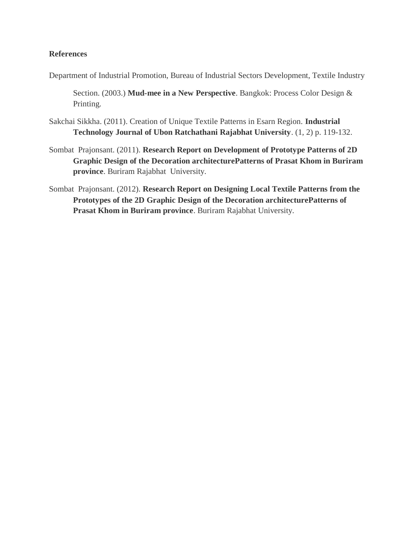### **References**

Department of Industrial Promotion, Bureau of Industrial Sectors Development, Textile Industry

Section. (2003.) **Mud-mee in a New Perspective**. Bangkok: Process Color Design & Printing.

- Sakchai Sikkha. (2011). Creation of Unique Textile Patterns in Esarn Region. **Industrial Technology Journal of Ubon Ratchathani Rajabhat University**. (1, 2) p. 119-132.
- Sombat Prajonsant. (2011). **Research Report on Development of Prototype Patterns of 2D Graphic Design of the Decoration architecturePatterns of Prasat Khom in Buriram province**. Buriram Rajabhat University.
- Sombat Prajonsant. (2012). **Research Report on Designing Local Textile Patterns from the Prototypes of the 2D Graphic Design of the Decoration architecturePatterns of Prasat Khom in Buriram province**. Buriram Rajabhat University.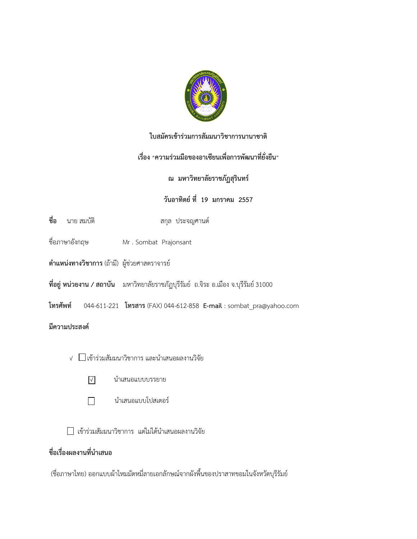

## **ใบสมัครเข้าร่วมการสัมมนาวิชาการนานาชาติ**

## **เรื่อง "ความร่วมมือของอาเซียนเพื่อการพัฒนาที่ยั่งยืน"**

## **ณ มหาวิทยาลัยราชภัฏสุรินทร์**

## **วันอาทิตย์ ที่ 19 มกราคม 2557**

- **ชื่อ** นาย สมบัติ สกุล ประจญศานต์
- ชื่อภาษาอังกฤษ Mr . Sombat Prajonsant
- **ต าแหน่งทางวิชาการ** (ถ้ามี) ผู้ช่วยศาสตราจารย์
- **ที่อยู่ หน่วยงาน / สถาบัน** มหาวิทยาลัยราชภัฏบุรีรัมย์ ถ.จิระ อ.เมือง จ.บุรีรัมย์ 31000
- **โทรศัพท์** 044-611-221 **โทรสาร** (FAX) 044-612-858 **E-mail** : sombat\_pra@yahoo.com

### **มีความประสงค์**

- √  $\Box$ เข้าร่วมสัมมนาวิชาการ และนำเสนอผลงานวิจัย
	- √ น าเสนอแบบบรรยาย
	- $\Box$ นำเสนอแบบโปสเตอร์

 $\Box$  เข้าร่วมสัมมนาวิชาการ แต่ไม่ได้นำเสนอผลงานวิจัย

## ี่ชื่อเรื่องผลงานที่นำเสนอ

(ชื่อภาษาไทย) ออกแบบผ้าไหมมัดหมี่ลายเอกลักษณ์จากผังพื้นของปราสาทขอมในจังหวัดบุรีรัมย์